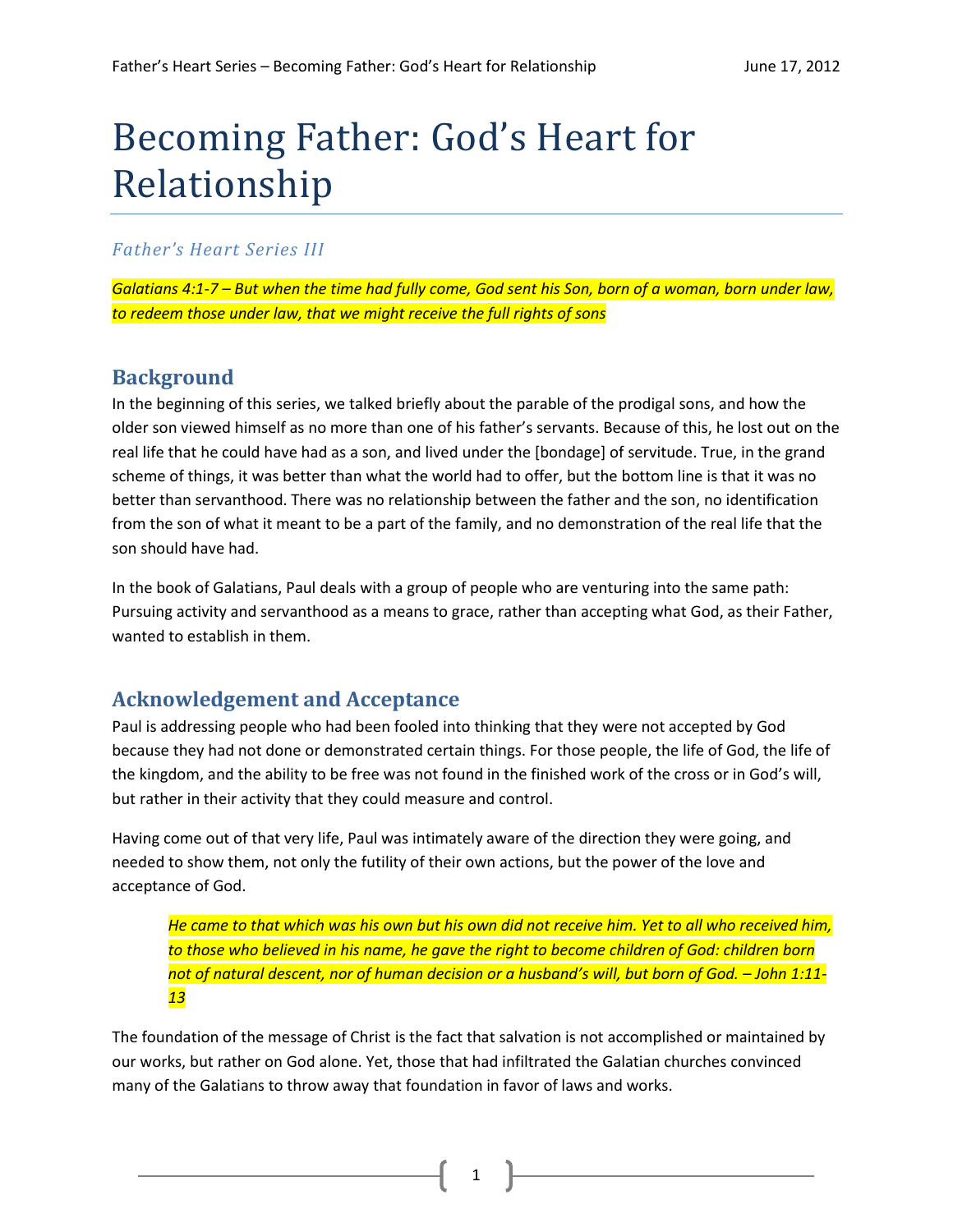# Becoming Father: God's Heart for Relationship

## *Father's Heart Series III*

*Galatians 4:1-7 – But when the time had fully come, God sent his Son, born of a woman, born under law, to redeem those under law, that we might receive the full rights of sons*

## **Background**

In the beginning of this series, we talked briefly about the parable of the prodigal sons, and how the older son viewed himself as no more than one of his father's servants. Because of this, he lost out on the real life that he could have had as a son, and lived under the [bondage] of servitude. True, in the grand scheme of things, it was better than what the world had to offer, but the bottom line is that it was no better than servanthood. There was no relationship between the father and the son, no identification from the son of what it meant to be a part of the family, and no demonstration of the real life that the son should have had.

In the book of Galatians, Paul deals with a group of people who are venturing into the same path: Pursuing activity and servanthood as a means to grace, rather than accepting what God, as their Father, wanted to establish in them.

# **Acknowledgement and Acceptance**

Paul is addressing people who had been fooled into thinking that they were not accepted by God because they had not done or demonstrated certain things. For those people, the life of God, the life of the kingdom, and the ability to be free was not found in the finished work of the cross or in God's will, but rather in their activity that they could measure and control.

Having come out of that very life, Paul was intimately aware of the direction they were going, and needed to show them, not only the futility of their own actions, but the power of the love and acceptance of God.

*He came to that which was his own but his own did not receive him. Yet to all who received him, to those who believed in his name, he gave the right to become children of God: children born not of natural descent, nor of human decision or a husband's will, but born of God. – John 1:11- 13*

The foundation of the message of Christ is the fact that salvation is not accomplished or maintained by our works, but rather on God alone. Yet, those that had infiltrated the Galatian churches convinced many of the Galatians to throw away that foundation in favor of laws and works.

1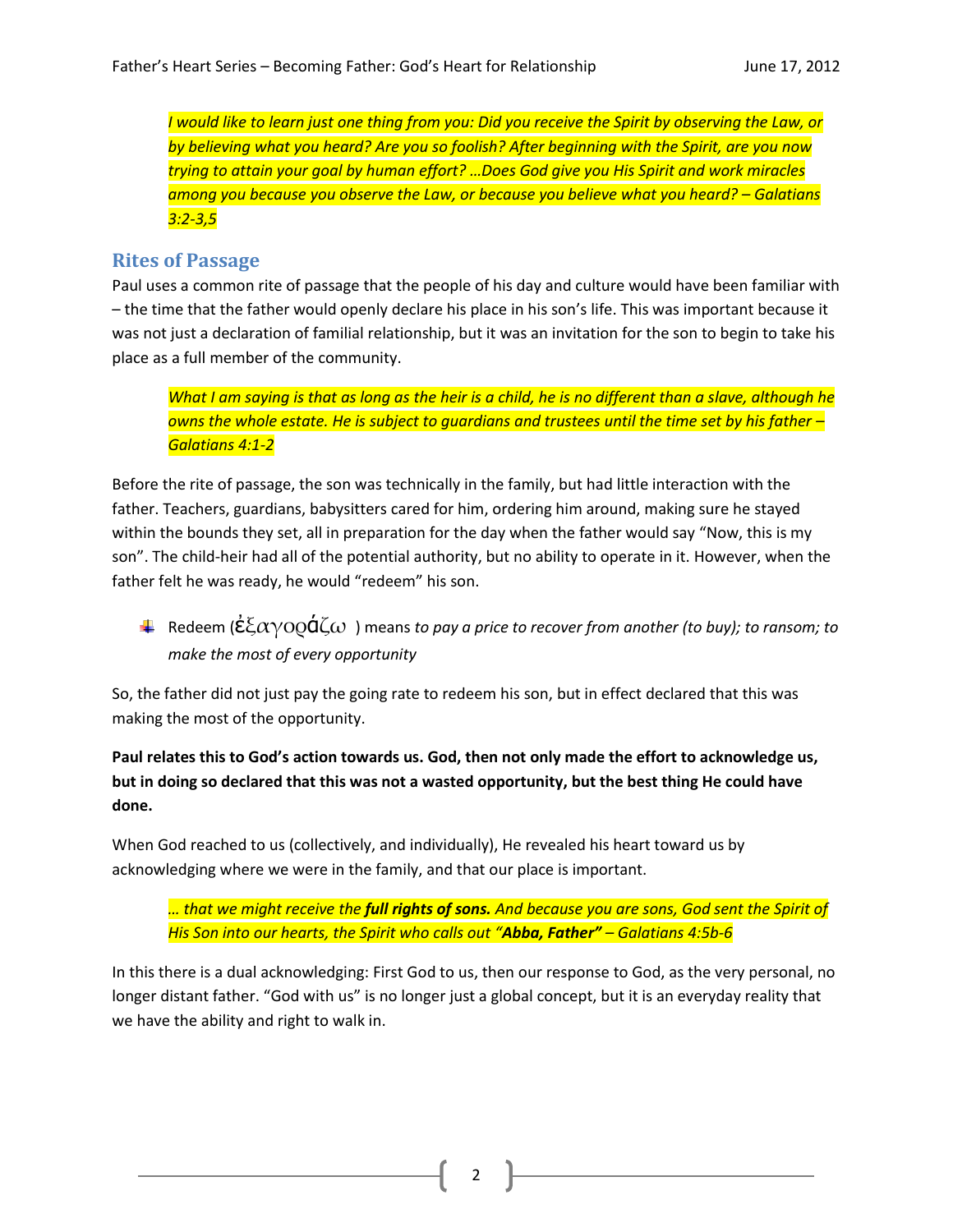*I would like to learn just one thing from you: Did you receive the Spirit by observing the Law, or by believing what you heard? Are you so foolish? After beginning with the Spirit, are you now trying to attain your goal by human effort? …Does God give you His Spirit and work miracles among you because you observe the Law, or because you believe what you heard? – Galatians 3:2-3,5*

#### **Rites of Passage**

Paul uses a common rite of passage that the people of his day and culture would have been familiar with – the time that the father would openly declare his place in his son's life. This was important because it was not just a declaration of familial relationship, but it was an invitation for the son to begin to take his place as a full member of the community.

*What I am saying is that as long as the heir is a child, he is no different than a slave, although he owns the whole estate. He is subject to guardians and trustees until the time set by his father – Galatians 4:1-2*

Before the rite of passage, the son was technically in the family, but had little interaction with the father. Teachers, guardians, babysitters cared for him, ordering him around, making sure he stayed within the bounds they set, all in preparation for the day when the father would say "Now, this is my son". The child-heir had all of the potential authority, but no ability to operate in it. However, when the father felt he was ready, he would "redeem" his son.

 $\pm$  Redeem ( $\dot{\epsilon} \bar{\epsilon} \alpha$ γOO $\dot{\mathsf{q}} \zeta$ ω) means to pay a price to recover from another (to buy); to ransom; to *make the most of every opportunity*

So, the father did not just pay the going rate to redeem his son, but in effect declared that this was making the most of the opportunity.

#### **Paul relates this to God's action towards us. God, then not only made the effort to acknowledge us, but in doing so declared that this was not a wasted opportunity, but the best thing He could have done.**

When God reached to us (collectively, and individually), He revealed his heart toward us by acknowledging where we were in the family, and that our place is important.

*… that we might receive the full rights of sons. And because you are sons, God sent the Spirit of His Son into our hearts, the Spirit who calls out "Abba, Father" – Galatians 4:5b-6*

In this there is a dual acknowledging: First God to us, then our response to God, as the very personal, no longer distant father. "God with us" is no longer just a global concept, but it is an everyday reality that we have the ability and right to walk in.

2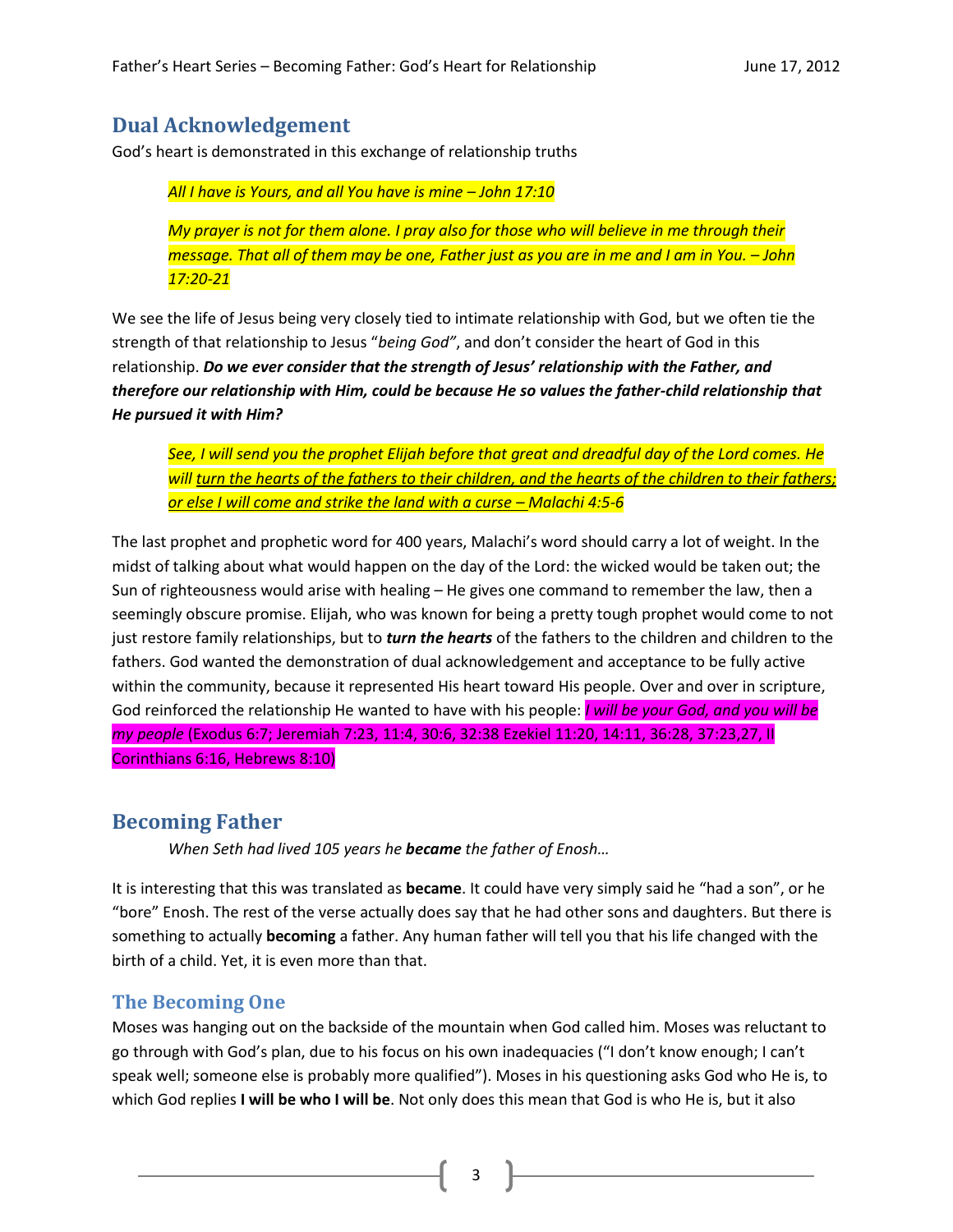## **Dual Acknowledgement**

God's heart is demonstrated in this exchange of relationship truths

*All I have is Yours, and all You have is mine – John 17:10*

*My prayer is not for them alone. I pray also for those who will believe in me through their message. That all of them may be one, Father just as you are in me and I am in You. – John 17:20-21*

We see the life of Jesus being very closely tied to intimate relationship with God, but we often tie the strength of that relationship to Jesus "*being God"*, and don't consider the heart of God in this relationship. *Do we ever consider that the strength of Jesus' relationship with the Father, and therefore our relationship with Him, could be because He so values the father-child relationship that He pursued it with Him?*

*See, I will send you the prophet Elijah before that great and dreadful day of the Lord comes. He will turn the hearts of the fathers to their children, and the hearts of the children to their fathers; or else I will come and strike the land with a curse – Malachi 4:5-6*

The last prophet and prophetic word for 400 years, Malachi's word should carry a lot of weight. In the midst of talking about what would happen on the day of the Lord: the wicked would be taken out; the Sun of righteousness would arise with healing – He gives one command to remember the law, then a seemingly obscure promise. Elijah, who was known for being a pretty tough prophet would come to not just restore family relationships, but to *turn the hearts* of the fathers to the children and children to the fathers. God wanted the demonstration of dual acknowledgement and acceptance to be fully active within the community, because it represented His heart toward His people. Over and over in scripture, God reinforced the relationship He wanted to have with his people: *I will be your God, and you will be my people* (Exodus 6:7; Jeremiah 7:23, 11:4, 30:6, 32:38 Ezekiel 11:20, 14:11, 36:28, 37:23,27, II Corinthians 6:16, Hebrews 8:10)

### **Becoming Father**

*When Seth had lived 105 years he became the father of Enosh…*

It is interesting that this was translated as **became**. It could have very simply said he "had a son", or he "bore" Enosh. The rest of the verse actually does say that he had other sons and daughters. But there is something to actually **becoming** a father. Any human father will tell you that his life changed with the birth of a child. Yet, it is even more than that.

### **The Becoming One**

Moses was hanging out on the backside of the mountain when God called him. Moses was reluctant to go through with God's plan, due to his focus on his own inadequacies ("I don't know enough; I can't speak well; someone else is probably more qualified"). Moses in his questioning asks God who He is, to which God replies **I will be who I will be**. Not only does this mean that God is who He is, but it also

3